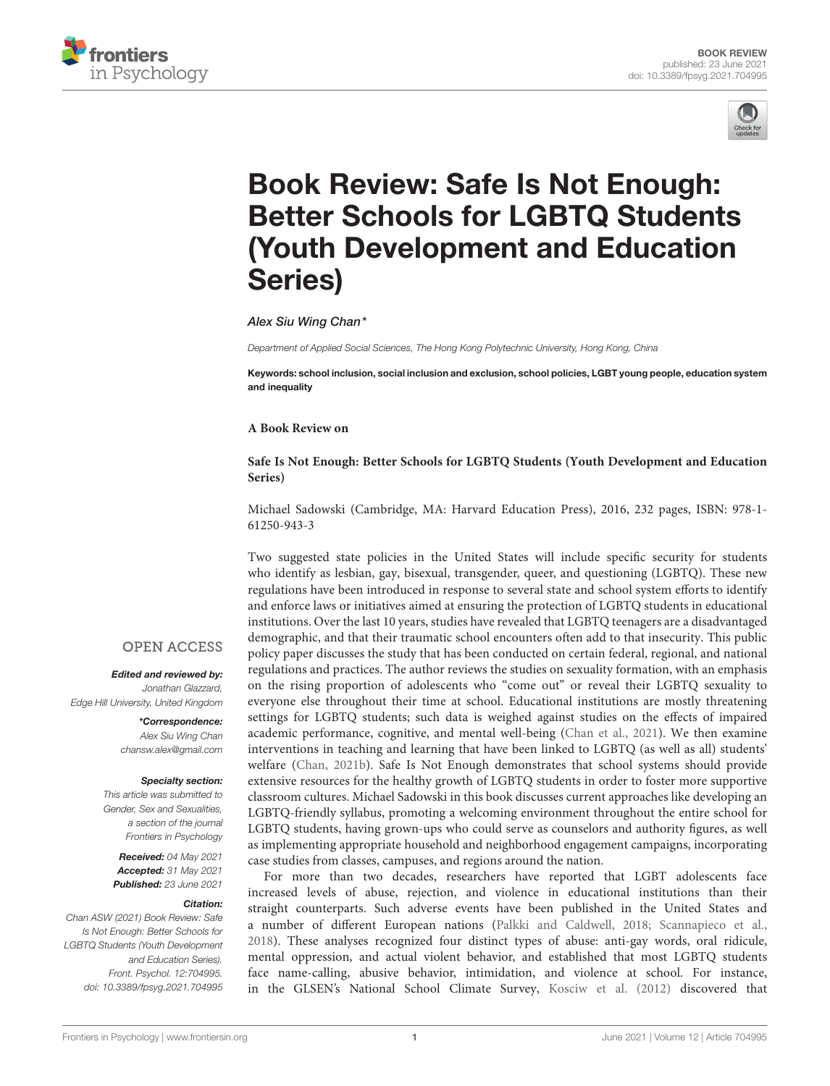



# Book Review: Safe Is Not Enough: [Better Schools for LGBTQ Students](https://www.frontiersin.org/articles/10.3389/fpsyg.2021.704995/full) (Youth Development and Education Series)

Alex Siu Wing Chan\*

*Department of Applied Social Sciences, The Hong Kong Polytechnic University, Hong Kong, China*

Keywords: school inclusion, social inclusion and exclusion, school policies, LGBT young people, education system and inequality

#### **A Book Review on**

#### **Safe Is Not Enough: Better Schools for LGBTQ Students (Youth Development and Education Series)**

Michael Sadowski (Cambridge, MA: Harvard Education Press), 2016, 232 pages, ISBN: 978-1- 61250-943-3

Two suggested state policies in the United States will include specific security for students who identify as lesbian, gay, bisexual, transgender, queer, and questioning (LGBTQ). These new regulations have been introduced in response to several state and school system efforts to identify and enforce laws or initiatives aimed at ensuring the protection of LGBTQ students in educational institutions. Over the last 10 years, studies have revealed that LGBTQ teenagers are a disadvantaged demographic, and that their traumatic school encounters often add to that insecurity. This public policy paper discusses the study that has been conducted on certain federal, regional, and national regulations and practices. The author reviews the studies on sexuality formation, with an emphasis on the rising proportion of adolescents who "come out" or reveal their LGBTQ sexuality to everyone else throughout their time at school. Educational institutions are mostly threatening settings for LGBTQ students; such data is weighed against studies on the effects of impaired academic performance, cognitive, and mental well-being [\(Chan et al., 2021\)](#page-1-0). We then examine interventions in teaching and learning that have been linked to LGBTQ (as well as all) students' welfare [\(Chan, 2021b\)](#page-1-1). Safe Is Not Enough demonstrates that school systems should provide extensive resources for the healthy growth of LGBTQ students in order to foster more supportive classroom cultures. Michael Sadowski in this book discusses current approaches like developing an LGBTQ-friendly syllabus, promoting a welcoming environment throughout the entire school for LGBTQ students, having grown-ups who could serve as counselors and authority figures, as well as implementing appropriate household and neighborhood engagement campaigns, incorporating case studies from classes, campuses, and regions around the nation.

For more than two decades, researchers have reported that LGBT adolescents face increased levels of abuse, rejection, and violence in educational institutions than their straight counterparts. Such adverse events have been published in the United States and a number of different European nations [\(Palkki and Caldwell, 2018;](#page-1-2) [Scannapieco et al.,](#page-1-3) [2018\)](#page-1-3). These analyses recognized four distinct types of abuse: anti-gay words, oral ridicule, mental oppression, and actual violent behavior, and established that most LGBTQ students face name-calling, abusive behavior, intimidation, and violence at school. For instance, in the GLSEN's National School Climate Survey, [Kosciw et al. \(2012\)](#page-1-4) discovered that

# **OPEN ACCESS**

Edited and reviewed by: *Jonathan Glazzard, Edge Hill University, United Kingdom*

> \*Correspondence: *Alex Siu Wing Chan [chansw.alex@gmail.com](mailto:chansw.alex@gmail.com)*

#### Specialty section:

*This article was submitted to Gender, Sex and Sexualities, a section of the journal Frontiers in Psychology*

Received: *04 May 2021* Accepted: *31 May 2021* Published: *23 June 2021*

#### Citation:

*Chan ASW (2021) Book Review: Safe Is Not Enough: Better Schools for LGBTQ Students (Youth Development and Education Series). Front. Psychol. 12:704995. doi: [10.3389/fpsyg.2021.704995](https://doi.org/10.3389/fpsyg.2021.704995)*